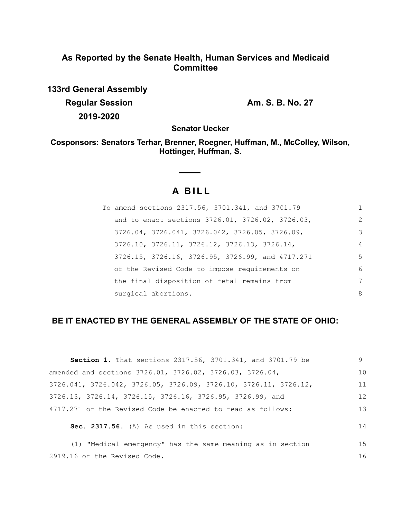## **As Reported by the Senate Health, Human Services and Medicaid Committee**

**133rd General Assembly Regular Session Am. S. B. No. 27 2019-2020**

**Senator Uecker**

**Cosponsors: Senators Terhar, Brenner, Roegner, Huffman, M., McColley, Wilson, Hottinger, Huffman, S.**

# **A B I L L**

 $\sim$  $\sim$ 

| To amend sections 2317.56, 3701.341, and 3701.79 | 1              |
|--------------------------------------------------|----------------|
| and to enact sections 3726.01, 3726.02, 3726.03, | $\mathcal{L}$  |
| 3726.04, 3726.041, 3726.042, 3726.05, 3726.09,   | 3              |
| 3726.10, 3726.11, 3726.12, 3726.13, 3726.14,     | $\overline{4}$ |
| 3726.15, 3726.16, 3726.95, 3726.99, and 4717.271 | 5              |
| of the Revised Code to impose requirements on    | 6              |
| the final disposition of fetal remains from      | 7              |
| surgical abortions.                              | 8              |

### **BE IT ENACTED BY THE GENERAL ASSEMBLY OF THE STATE OF OHIO:**

| <b>Section 1.</b> That sections 2317.56, 3701.341, and 3701.79 be                     | 9  |
|---------------------------------------------------------------------------------------|----|
| amended and sections 3726.01, 3726.02, 3726.03, 3726.04,                              | 10 |
| $3726.041$ , $3726.042$ , $3726.05$ , $3726.09$ , $3726.10$ , $3726.11$ , $3726.12$ , | 11 |
| 3726.13, 3726.14, 3726.15, 3726.16, 3726.95, 3726.99, and                             | 12 |
| 4717.271 of the Revised Code be enacted to read as follows:                           | 13 |
| Sec. 2317.56. (A) As used in this section:                                            | 14 |
| (1) "Medical emergency" has the same meaning as in section                            | 15 |
| 2919.16 of the Revised Code.                                                          | 16 |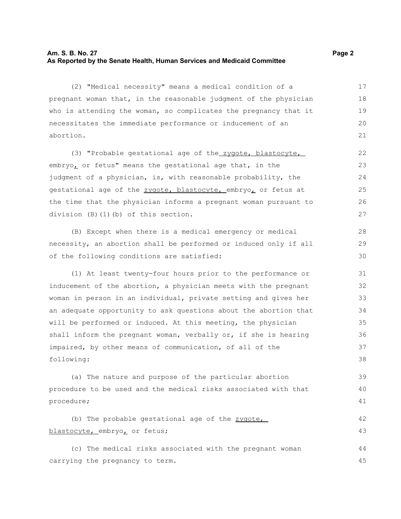#### **Am. S. B. No. 27 Page 2 As Reported by the Senate Health, Human Services and Medicaid Committee**

(2) "Medical necessity" means a medical condition of a pregnant woman that, in the reasonable judgment of the physician who is attending the woman, so complicates the pregnancy that it necessitates the immediate performance or inducement of an abortion. 17 18 19 20 21

(3) "Probable gestational age of the zygote, blastocyte, embryo, or fetus" means the gestational age that, in the judgment of a physician, is, with reasonable probability, the gestational age of the zygote, blastocyte, embryo, or fetus at the time that the physician informs a pregnant woman pursuant to division (B)(1)(b) of this section.

(B) Except when there is a medical emergency or medical necessity, an abortion shall be performed or induced only if all of the following conditions are satisfied:

(1) At least twenty-four hours prior to the performance or inducement of the abortion, a physician meets with the pregnant woman in person in an individual, private setting and gives her an adequate opportunity to ask questions about the abortion that will be performed or induced. At this meeting, the physician shall inform the pregnant woman, verbally or, if she is hearing impaired, by other means of communication, of all of the following:

(a) The nature and purpose of the particular abortion procedure to be used and the medical risks associated with that procedure; 39 40 41

(b) The probable gestational age of the zygote, blastocyte, embryo, or fetus;

(c) The medical risks associated with the pregnant woman carrying the pregnancy to term. 44 45

28 29 30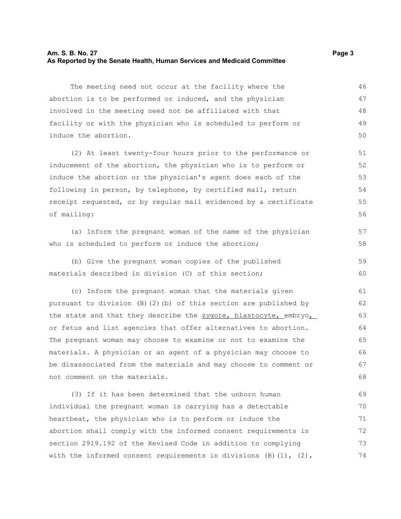#### **Am. S. B. No. 27 Page 3 As Reported by the Senate Health, Human Services and Medicaid Committee**

The meeting need not occur at the facility where the abortion is to be performed or induced, and the physician involved in the meeting need not be affiliated with that facility or with the physician who is scheduled to perform or induce the abortion. 46 47 48 49 50

(2) At least twenty-four hours prior to the performance or inducement of the abortion, the physician who is to perform or induce the abortion or the physician's agent does each of the following in person, by telephone, by certified mail, return receipt requested, or by regular mail evidenced by a certificate of mailing:

(a) Inform the pregnant woman of the name of the physician who is scheduled to perform or induce the abortion;

(b) Give the pregnant woman copies of the published materials described in division (C) of this section; 59 60

(c) Inform the pregnant woman that the materials given pursuant to division (B)(2)(b) of this section are published by the state and that they describe the zygote, blastocyte, embryo, or fetus and list agencies that offer alternatives to abortion. The pregnant woman may choose to examine or not to examine the materials. A physician or an agent of a physician may choose to be disassociated from the materials and may choose to comment or not comment on the materials. 61 62 63 64 65 66 67 68

(3) If it has been determined that the unborn human individual the pregnant woman is carrying has a detectable heartbeat, the physician who is to perform or induce the abortion shall comply with the informed consent requirements in section 2919.192 of the Revised Code in addition to complying with the informed consent requirements in divisions  $(B)$   $(1)$ ,  $(2)$ , 69 70 71 72 73 74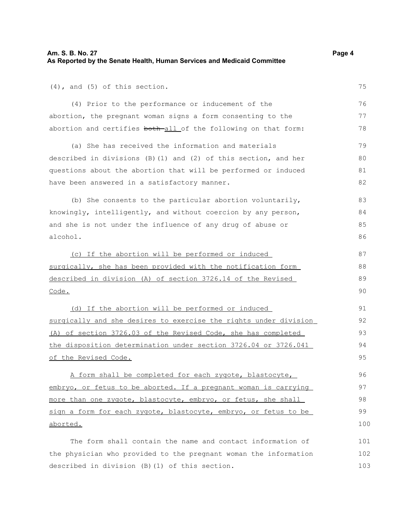(4), and (5) of this section.

(4) Prior to the performance or inducement of the abortion, the pregnant woman signs a form consenting to the abortion and certifies both all of the following on that form:

(a) She has received the information and materials described in divisions (B)(1) and (2) of this section, and her questions about the abortion that will be performed or induced have been answered in a satisfactory manner.

(b) She consents to the particular abortion voluntarily, knowingly, intelligently, and without coercion by any person, and she is not under the influence of any drug of abuse or alcohol. 83 84 85 86

 (c) If the abortion will be performed or induced surgically, she has been provided with the notification form described in division (A) of section 3726.14 of the Revised Code. 87 88 89 90

 (d) If the abortion will be performed or induced surgically and she desires to exercise the rights under division (A) of section 3726.03 of the Revised Code, she has completed the disposition determination under section 3726.04 or 3726.041 of the Revised Code.

A form shall be completed for each zygote, blastocyte, embryo, or fetus to be aborted. If a pregnant woman is carrying more than one zygote, blastocyte, embryo, or fetus, she shall sign a form for each zygote, blastocyte, embryo, or fetus to be aborted.

The form shall contain the name and contact information of the physician who provided to the pregnant woman the information described in division (B)(1) of this section. 101 102 103

75

76 77 78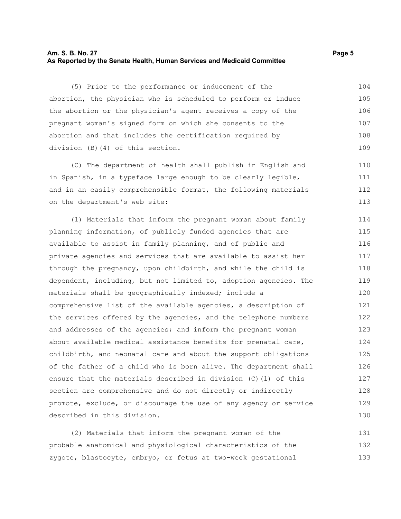#### **Am. S. B. No. 27 Page 5 As Reported by the Senate Health, Human Services and Medicaid Committee**

(5) Prior to the performance or inducement of the abortion, the physician who is scheduled to perform or induce the abortion or the physician's agent receives a copy of the pregnant woman's signed form on which she consents to the abortion and that includes the certification required by division (B)(4) of this section. 104 105 106 107 108 109

(C) The department of health shall publish in English and in Spanish, in a typeface large enough to be clearly legible, and in an easily comprehensible format, the following materials on the department's web site: 110 111 112 113

(1) Materials that inform the pregnant woman about family planning information, of publicly funded agencies that are available to assist in family planning, and of public and private agencies and services that are available to assist her through the pregnancy, upon childbirth, and while the child is dependent, including, but not limited to, adoption agencies. The materials shall be geographically indexed; include a comprehensive list of the available agencies, a description of the services offered by the agencies, and the telephone numbers and addresses of the agencies; and inform the pregnant woman about available medical assistance benefits for prenatal care, childbirth, and neonatal care and about the support obligations of the father of a child who is born alive. The department shall ensure that the materials described in division (C)(1) of this section are comprehensive and do not directly or indirectly promote, exclude, or discourage the use of any agency or service described in this division. 114 115 116 117 118 119 120 121 122 123 124 125 126 127 128 129 130

(2) Materials that inform the pregnant woman of the probable anatomical and physiological characteristics of the zygote, blastocyte, embryo, or fetus at two-week gestational 131 132 133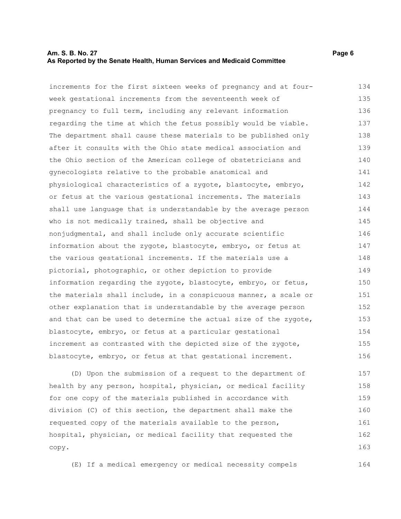#### **Am. S. B. No. 27 Page 6 As Reported by the Senate Health, Human Services and Medicaid Committee**

increments for the first sixteen weeks of pregnancy and at fourweek gestational increments from the seventeenth week of pregnancy to full term, including any relevant information regarding the time at which the fetus possibly would be viable. The department shall cause these materials to be published only after it consults with the Ohio state medical association and the Ohio section of the American college of obstetricians and gynecologists relative to the probable anatomical and physiological characteristics of a zygote, blastocyte, embryo, or fetus at the various gestational increments. The materials shall use language that is understandable by the average person who is not medically trained, shall be objective and nonjudgmental, and shall include only accurate scientific information about the zygote, blastocyte, embryo, or fetus at the various gestational increments. If the materials use a pictorial, photographic, or other depiction to provide information regarding the zygote, blastocyte, embryo, or fetus, the materials shall include, in a conspicuous manner, a scale or other explanation that is understandable by the average person and that can be used to determine the actual size of the zygote, blastocyte, embryo, or fetus at a particular gestational increment as contrasted with the depicted size of the zygote, blastocyte, embryo, or fetus at that gestational increment. 134 135 136 137 138 139 140 141 142 143 144 145 146 147 148 149 150 151 152 153 154 155 156

(D) Upon the submission of a request to the department of health by any person, hospital, physician, or medical facility for one copy of the materials published in accordance with division (C) of this section, the department shall make the requested copy of the materials available to the person, hospital, physician, or medical facility that requested the copy. 157 158 159 160 161 162 163

(E) If a medical emergency or medical necessity compels 164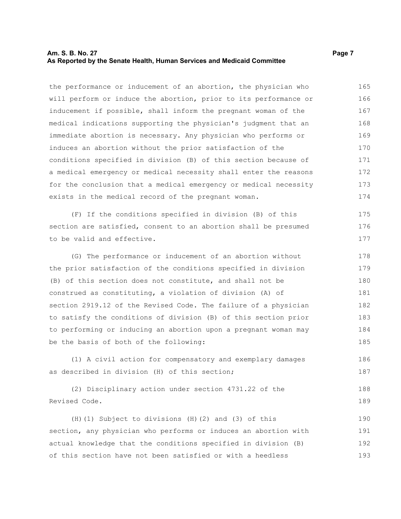#### **Am. S. B. No. 27 Page 7 As Reported by the Senate Health, Human Services and Medicaid Committee**

the performance or inducement of an abortion, the physician who will perform or induce the abortion, prior to its performance or inducement if possible, shall inform the pregnant woman of the medical indications supporting the physician's judgment that an immediate abortion is necessary. Any physician who performs or induces an abortion without the prior satisfaction of the conditions specified in division (B) of this section because of a medical emergency or medical necessity shall enter the reasons for the conclusion that a medical emergency or medical necessity exists in the medical record of the pregnant woman. 165 166 167 168 169 170 171 172 173 174

(F) If the conditions specified in division (B) of this section are satisfied, consent to an abortion shall be presumed to be valid and effective. 175 176 177

(G) The performance or inducement of an abortion without the prior satisfaction of the conditions specified in division (B) of this section does not constitute, and shall not be construed as constituting, a violation of division (A) of section 2919.12 of the Revised Code. The failure of a physician to satisfy the conditions of division (B) of this section prior to performing or inducing an abortion upon a pregnant woman may be the basis of both of the following: 178 179 180 181 182 183 184 185

(1) A civil action for compensatory and exemplary damages as described in division (H) of this section; 186 187

(2) Disciplinary action under section 4731.22 of the Revised Code. 188 189

(H)(1) Subject to divisions (H)(2) and (3) of this section, any physician who performs or induces an abortion with actual knowledge that the conditions specified in division (B) of this section have not been satisfied or with a heedless 190 191 192 193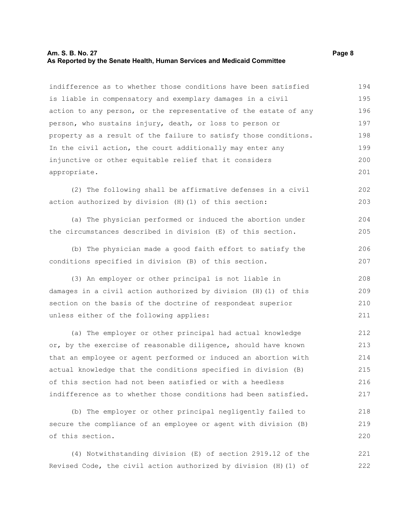#### **Am. S. B. No. 27 Page 8 As Reported by the Senate Health, Human Services and Medicaid Committee**

indifference as to whether those conditions have been satisfied is liable in compensatory and exemplary damages in a civil action to any person, or the representative of the estate of any person, who sustains injury, death, or loss to person or property as a result of the failure to satisfy those conditions. In the civil action, the court additionally may enter any injunctive or other equitable relief that it considers appropriate. 194 195 196 197 198 199 200 201

(2) The following shall be affirmative defenses in a civil action authorized by division (H)(1) of this section: 202 203

(a) The physician performed or induced the abortion under the circumstances described in division (E) of this section. 204 205

(b) The physician made a good faith effort to satisfy the conditions specified in division (B) of this section. 206 207

(3) An employer or other principal is not liable in damages in a civil action authorized by division (H)(1) of this section on the basis of the doctrine of respondeat superior unless either of the following applies: 208 209 210 211

(a) The employer or other principal had actual knowledge or, by the exercise of reasonable diligence, should have known that an employee or agent performed or induced an abortion with actual knowledge that the conditions specified in division (B) of this section had not been satisfied or with a heedless indifference as to whether those conditions had been satisfied. 212 213 214 215 216 217

(b) The employer or other principal negligently failed to secure the compliance of an employee or agent with division (B) of this section. 218 219 220

(4) Notwithstanding division (E) of section 2919.12 of the Revised Code, the civil action authorized by division (H)(1) of 221 222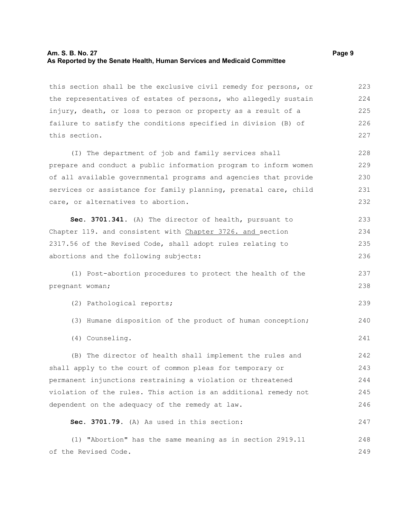#### **Am. S. B. No. 27 Page 9 As Reported by the Senate Health, Human Services and Medicaid Committee**

this section shall be the exclusive civil remedy for persons, or the representatives of estates of persons, who allegedly sustain injury, death, or loss to person or property as a result of a failure to satisfy the conditions specified in division (B) of this section. 223 224 225 226 227

(I) The department of job and family services shall prepare and conduct a public information program to inform women of all available governmental programs and agencies that provide services or assistance for family planning, prenatal care, child care, or alternatives to abortion. 228 229 230 231 232

**Sec. 3701.341.** (A) The director of health, pursuant to Chapter 119. and consistent with Chapter 3726. and section 2317.56 of the Revised Code, shall adopt rules relating to abortions and the following subjects: 233 234 235 236

(1) Post-abortion procedures to protect the health of the pregnant woman;

(2) Pathological reports;

(3) Humane disposition of the product of human conception; 240

(4) Counseling.

(B) The director of health shall implement the rules and shall apply to the court of common pleas for temporary or permanent injunctions restraining a violation or threatened violation of the rules. This action is an additional remedy not dependent on the adequacy of the remedy at law. 242 243 244 245 246

**Sec. 3701.79.** (A) As used in this section:

(1) "Abortion" has the same meaning as in section 2919.11 of the Revised Code. 248 249

237 238

239

241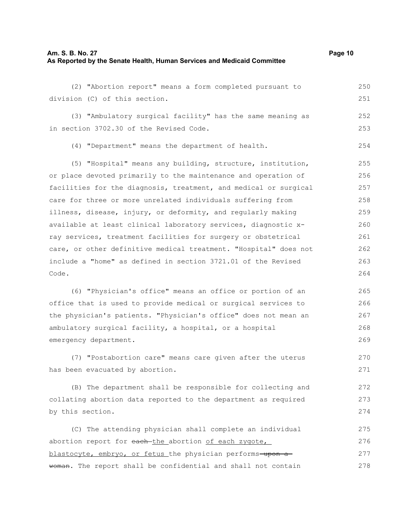#### **Am. S. B. No. 27 Page 10 As Reported by the Senate Health, Human Services and Medicaid Committee**

(2) "Abortion report" means a form completed pursuant to division (C) of this section. (3) "Ambulatory surgical facility" has the same meaning as in section 3702.30 of the Revised Code. (4) "Department" means the department of health. (5) "Hospital" means any building, structure, institution, or place devoted primarily to the maintenance and operation of facilities for the diagnosis, treatment, and medical or surgical care for three or more unrelated individuals suffering from illness, disease, injury, or deformity, and regularly making available at least clinical laboratory services, diagnostic xray services, treatment facilities for surgery or obstetrical care, or other definitive medical treatment. "Hospital" does not include a "home" as defined in section 3721.01 of the Revised Code. (6) "Physician's office" means an office or portion of an 250 251 252 253 254 255 256 257 258 259 260 261 262 263 264 265

office that is used to provide medical or surgical services to the physician's patients. "Physician's office" does not mean an ambulatory surgical facility, a hospital, or a hospital emergency department. 266 267 268 269

(7) "Postabortion care" means care given after the uterus has been evacuated by abortion.

270 271

(B) The department shall be responsible for collecting and collating abortion data reported to the department as required by this section. 272 273 274

(C) The attending physician shall complete an individual abortion report for each-the abortion of each zygote, blastocyte, embryo, or fetus the physician performs-upon awoman. The report shall be confidential and shall not contain 275 276 277 278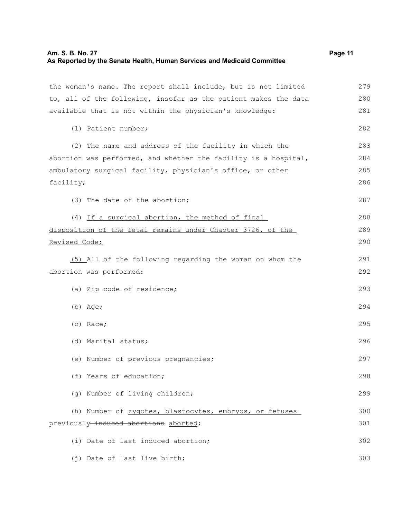#### **Am. S. B. No. 27 Page 11 As Reported by the Senate Health, Human Services and Medicaid Committee**

the woman's name. The report shall include, but is not limited to, all of the following, insofar as the patient makes the data available that is not within the physician's knowledge: (1) Patient number; (2) The name and address of the facility in which the abortion was performed, and whether the facility is a hospital, ambulatory surgical facility, physician's office, or other facility; (3) The date of the abortion; (4) If a surgical abortion, the method of final disposition of the fetal remains under Chapter 3726. of the Revised Code; (5) All of the following regarding the woman on whom the abortion was performed: (a) Zip code of residence; (b) Age; (c) Race; (d) Marital status; (e) Number of previous pregnancies; (f) Years of education; (g) Number of living children; (h) Number of zygotes, blastocytes, embryos, or fetuses previously-induced abortions aborted; (i) Date of last induced abortion; (j) Date of last live birth; 279 280 281 282 283 284 285 286 287 288 289 290 291 292 293 294 295 296 297 298 299 300 301 302 303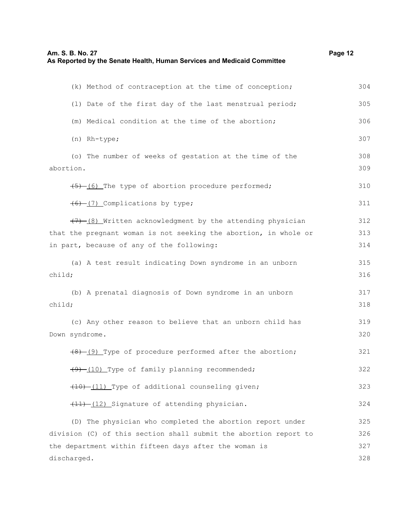| Am. S. B. No. 27                                                        | Page 12 |
|-------------------------------------------------------------------------|---------|
| As Reported by the Senate Health, Human Services and Medicaid Committee |         |

| (k) Method of contraception at the time of conception;                                                                        | 304        |
|-------------------------------------------------------------------------------------------------------------------------------|------------|
| (1) Date of the first day of the last menstrual period;                                                                       | 305        |
| (m) Medical condition at the time of the abortion;                                                                            | 306        |
| (n) Rh-type;                                                                                                                  | 307        |
| (o) The number of weeks of gestation at the time of the<br>abortion.                                                          | 308<br>309 |
| (5) (6) The type of abortion procedure performed;                                                                             | 310        |
| (6) (7) Complications by type;                                                                                                | 311        |
| (7) (8) Written acknowledgment by the attending physician<br>that the pregnant woman is not seeking the abortion, in whole or | 312<br>313 |
| in part, because of any of the following:                                                                                     | 314        |
| (a) A test result indicating Down syndrome in an unborn<br>child;                                                             | 315<br>316 |
| (b) A prenatal diagnosis of Down syndrome in an unborn<br>child;                                                              | 317<br>318 |
| (c) Any other reason to believe that an unborn child has<br>Down syndrome.                                                    | 319<br>320 |
| (8) (9) Type of procedure performed after the abortion;                                                                       | 321        |
| (9) (10) Type of family planning recommended;                                                                                 | 322        |
| (10) -(11) Type of additional counseling given;                                                                               | 323        |
| (11) -(12) Signature of attending physician.                                                                                  | 324        |
| (D) The physician who completed the abortion report under<br>division (C) of this section shall submit the abortion report to | 325<br>326 |
| the department within fifteen days after the woman is                                                                         | 327        |
| discharged.                                                                                                                   | 328        |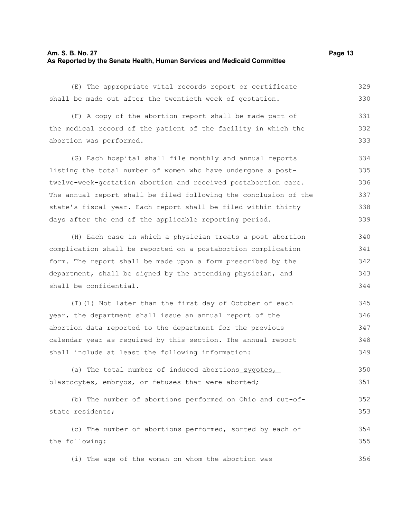#### **Am. S. B. No. 27 Page 13 As Reported by the Senate Health, Human Services and Medicaid Committee**

(E) The appropriate vital records report or certificate shall be made out after the twentieth week of gestation. 329 330

(F) A copy of the abortion report shall be made part of the medical record of the patient of the facility in which the abortion was performed. 331 332 333

(G) Each hospital shall file monthly and annual reports listing the total number of women who have undergone a posttwelve-week-gestation abortion and received postabortion care. The annual report shall be filed following the conclusion of the state's fiscal year. Each report shall be filed within thirty days after the end of the applicable reporting period. 334 335 336 337 338 339

(H) Each case in which a physician treats a post abortion complication shall be reported on a postabortion complication form. The report shall be made upon a form prescribed by the department, shall be signed by the attending physician, and shall be confidential. 340 341 342 343 344

(I)(1) Not later than the first day of October of each year, the department shall issue an annual report of the abortion data reported to the department for the previous calendar year as required by this section. The annual report shall include at least the following information: 345 346 347 348 349

```
(a) The total number of-induced abortions zygotes,
blastocytes, embryos, or fetuses that were aborted;
                                                                            350
                                                                            351
```

```
(b) The number of abortions performed on Ohio and out-of-
state residents;
     (c) The number of abortions performed, sorted by each of
the following:
                                                                            352
                                                                            353
                                                                            354
                                                                            355
```
(i) The age of the woman on whom the abortion was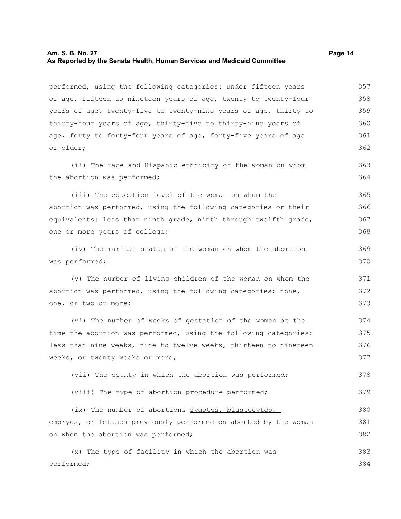#### **Am. S. B. No. 27 Page 14 As Reported by the Senate Health, Human Services and Medicaid Committee**

performed, using the following categories: under fifteen years of age, fifteen to nineteen years of age, twenty to twenty-four years of age, twenty-five to twenty-nine years of age, thirty to thirty-four years of age, thirty-five to thirty-nine years of age, forty to forty-four years of age, forty-five years of age or older; (ii) The race and Hispanic ethnicity of the woman on whom the abortion was performed; (iii) The education level of the woman on whom the abortion was performed, using the following categories or their equivalents: less than ninth grade, ninth through twelfth grade, one or more years of college; (iv) The marital status of the woman on whom the abortion was performed; (v) The number of living children of the woman on whom the abortion was performed, using the following categories: none, one, or two or more; (vi) The number of weeks of gestation of the woman at the time the abortion was performed, using the following categories: less than nine weeks, nine to twelve weeks, thirteen to nineteen weeks, or twenty weeks or more; (vii) The county in which the abortion was performed; (viii) The type of abortion procedure performed; (ix) The number of abortions zygotes, blastocytes, embryos, or fetuses previously performed on aborted by the woman on whom the abortion was performed; (x) The type of facility in which the abortion was performed; 357 358 359 360 361 362 363 364 365 366 367 368 369 370 371 372 373 374 375 376 377 378 379 380 381 382 383 384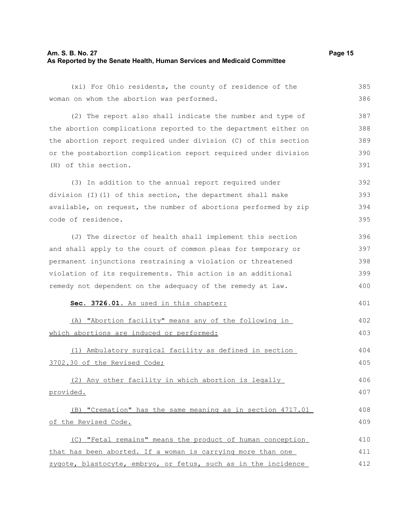#### **Am. S. B. No. 27 Page 15 As Reported by the Senate Health, Human Services and Medicaid Committee**

(xi) For Ohio residents, the county of residence of the woman on whom the abortion was performed. (2) The report also shall indicate the number and type of the abortion complications reported to the department either on the abortion report required under division (C) of this section or the postabortion complication report required under division (H) of this section. (3) In addition to the annual report required under division (I)(1) of this section, the department shall make available, on request, the number of abortions performed by zip code of residence. (J) The director of health shall implement this section and shall apply to the court of common pleas for temporary or permanent injunctions restraining a violation or threatened violation of its requirements. This action is an additional remedy not dependent on the adequacy of the remedy at law. **Sec. 3726.01.** As used in this chapter: (A) "Abortion facility" means any of the following in which abortions are induced or performed: (1) Ambulatory surgical facility as defined in section 3702.30 of the Revised Code; (2) Any other facility in which abortion is legally provided. (B) "Cremation" has the same meaning as in section 4717.01 of the Revised Code. (C) "Fetal remains" means the product of human conception that has been aborted. If a woman is carrying more than one 385 386 387 388 389 390 391 392 393 394 395 396 397 398 399 400 401 402 403 404 405 406 407 408 409 410 411

zygote, blastocyte, embryo, or fetus, such as in the incidence 412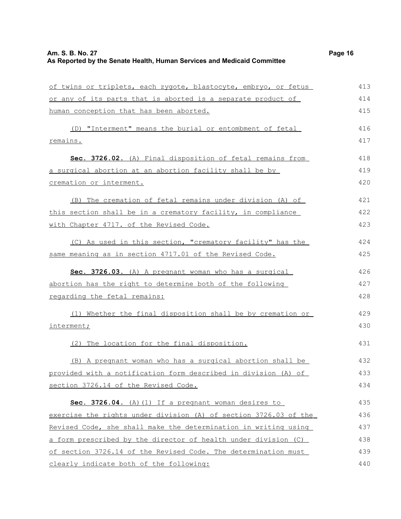| of twins or triplets, each zygote, blastocyte, embryo, or fetus  | 413 |
|------------------------------------------------------------------|-----|
| or any of its parts that is aborted is a separate product of     | 414 |
| human conception that has been aborted.                          | 415 |
| (D) "Interment" means the burial or entombment of fetal          | 416 |
| remains.                                                         | 417 |
| Sec. 3726.02. (A) Final disposition of fetal remains from        | 418 |
| a surgical abortion at an abortion facility shall be by          | 419 |
| cremation or interment.                                          | 420 |
| (B) The cremation of fetal remains under division (A) of         | 421 |
| this section shall be in a crematory facility, in compliance     | 422 |
| with Chapter 4717. of the Revised Code.                          | 423 |
| (C) As used in this section, "crematory facility" has the        | 424 |
| same meaning as in section 4717.01 of the Revised Code.          | 425 |
| Sec. 3726.03. (A) A pregnant woman who has a surgical            | 426 |
| abortion has the right to determine both of the following        | 427 |
| regarding the fetal remains:                                     | 428 |
| (1) Whether the final disposition shall be by cremation or       | 429 |
| interment;                                                       | 430 |
| (2) The location for the final disposition.                      | 431 |
| (B) A pregnant woman who has a surgical abortion shall be        | 432 |
| provided with a notification form described in division (A) of   | 433 |
| section 3726.14 of the Revised Code.                             | 434 |
| Sec. 3726.04. (A) (1) If a pregnant woman desires to             | 435 |
| exercise the rights under division (A) of section 3726.03 of the | 436 |
| Revised Code, she shall make the determination in writing using  | 437 |
| a form prescribed by the director of health under division (C)   | 438 |
| of section 3726.14 of the Revised Code. The determination must   | 439 |
| clearly indicate both of the following:                          | 440 |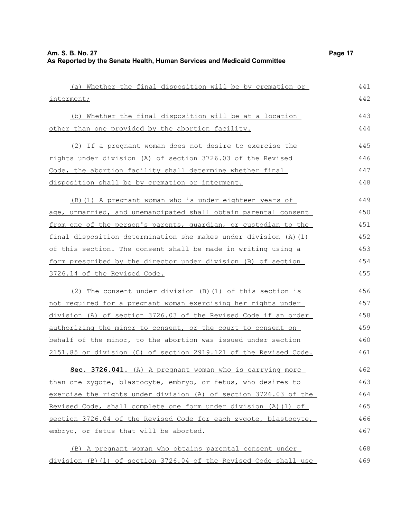| (a) Whether the final disposition will be by cremation or        | 441 |
|------------------------------------------------------------------|-----|
| interment;                                                       | 442 |
| (b) Whether the final disposition will be at a location          | 443 |
| other than one provided by the abortion facility.                | 444 |
|                                                                  |     |
| (2) If a pregnant woman does not desire to exercise the          | 445 |
| rights under division (A) of section 3726.03 of the Revised      | 446 |
| Code, the abortion facility shall determine whether final        | 447 |
| disposition shall be by cremation or interment.                  | 448 |
| (B) (1) A pregnant woman who is under eighteen years of          | 449 |
| age, unmarried, and unemancipated shall obtain parental consent  | 450 |
| from one of the person's parents, quardian, or custodian to the  | 451 |
| final disposition determination she makes under division (A) (1) | 452 |
| of this section. The consent shall be made in writing using a    | 453 |
| form prescribed by the director under division (B) of section    | 454 |
| 3726.14 of the Revised Code.                                     | 455 |
| (2) The consent under division (B) (1) of this section is        | 456 |
| not required for a pregnant woman exercising her rights under    | 457 |
| division (A) of section 3726.03 of the Revised Code if an order  | 458 |
| authorizing the minor to consent, or the court to consent on     | 459 |
| behalf of the minor, to the abortion was issued under section    | 460 |
| 2151.85 or division (C) of section 2919.121 of the Revised Code. | 461 |
| Sec. 3726.041. (A) A pregnant woman who is carrying more         | 462 |
| than one zygote, blastocyte, embryo, or fetus, who desires to    | 463 |
| exercise the rights under division (A) of section 3726.03 of the | 464 |
| Revised Code, shall complete one form under division (A) (1) of  | 465 |
| section 3726.04 of the Revised Code for each zygote, blastocyte, | 466 |
| embryo, or fetus that will be aborted.                           | 467 |
| (B) A pregnant woman who obtains parental consent under          | 468 |
| division (B)(1) of section 3726.04 of the Revised Code shall use | 469 |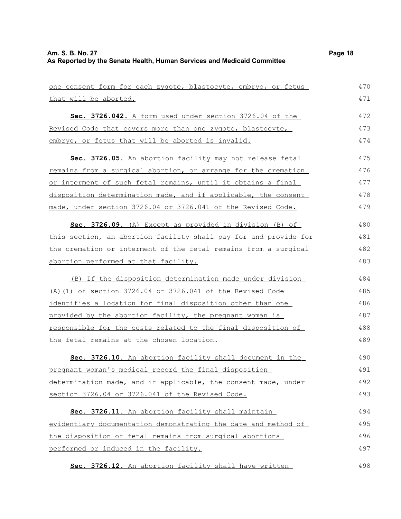| one consent form for each zygote, blastocyte, embryo, or fetus       | 470 |
|----------------------------------------------------------------------|-----|
| that will be aborted.                                                | 471 |
| Sec. 3726.042. A form used under section 3726.04 of the              | 472 |
| Revised Code that covers more than one zygote, blastocyte,           | 473 |
| embryo, or fetus that will be aborted is invalid.                    | 474 |
| Sec. 3726.05. An abortion facility may not release fetal             | 475 |
| remains from a surgical abortion, or arrange for the cremation       | 476 |
| or interment of such fetal remains, until it obtains a final         | 477 |
| disposition determination made, and if applicable, the consent       | 478 |
| made, under section 3726.04 or 3726.041 of the Revised Code.         | 479 |
| Sec. 3726.09. (A) Except as provided in division (B) of              | 480 |
| this section, an abortion facility shall pay for and provide for     | 481 |
| the cremation or interment of the fetal remains from a surgical      | 482 |
| abortion performed at that facility.                                 | 483 |
| (B) If the disposition determination made under division             | 484 |
| (A) (1) of section 3726.04 or 3726.041 of the Revised Code           | 485 |
| identifies a location for final disposition other than one           | 486 |
| provided by the abortion facility, the pregnant woman is             | 487 |
| <u>responsible for the costs related to the final disposition of</u> | 488 |
| the fetal remains at the chosen location.                            | 489 |
| Sec. 3726.10. An abortion facility shall document in the             | 490 |
| pregnant woman's medical record the final disposition                | 491 |
| determination made, and if applicable, the consent made, under       | 492 |
| section 3726.04 or 3726.041 of the Revised Code.                     | 493 |
| Sec. 3726.11. An abortion facility shall maintain                    | 494 |
| evidentiary documentation demonstrating the date and method of       | 495 |
| the disposition of fetal remains from surgical abortions             | 496 |
| performed or induced in the facility.                                | 497 |
| Sec. 3726.12. An abortion facility shall have written                | 498 |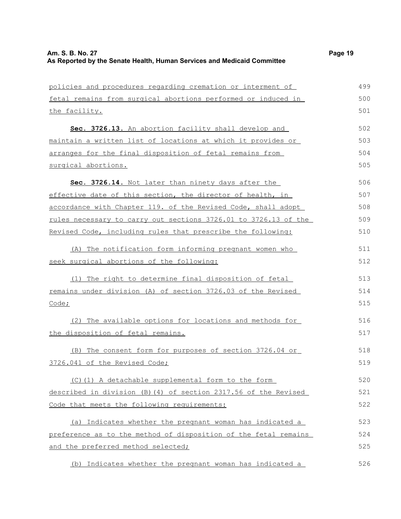| policies and procedures regarding cremation or interment of     | 499 |
|-----------------------------------------------------------------|-----|
| fetal remains from surgical abortions performed or induced in   | 500 |
| the facility.                                                   | 501 |
| Sec. 3726.13. An abortion facility shall develop and            | 502 |
| maintain a written list of locations at which it provides or    | 503 |
| arranges for the final disposition of fetal remains from        | 504 |
| surgical abortions.                                             | 505 |
| Sec. 3726.14. Not later than ninety days after the              | 506 |
| effective date of this section, the director of health, in      | 507 |
| accordance with Chapter 119. of the Revised Code, shall adopt   | 508 |
| rules necessary to carry out sections 3726.01 to 3726.13 of the | 509 |
| Revised Code, including rules that prescribe the following:     | 510 |
| (A) The notification form informing pregnant women who          | 511 |
| seek surgical abortions of the following:                       | 512 |
| (1) The right to determine final disposition of fetal           | 513 |
| remains under division (A) of section 3726.03 of the Revised    | 514 |
| Code;                                                           | 515 |
| (2) The available options for locations and methods for         | 516 |
| the disposition of fetal remains.                               | 517 |
| (B) The consent form for purposes of section 3726.04 or         | 518 |
| 3726.041 of the Revised Code;                                   | 519 |
| (C)(1) A detachable supplemental form to the form               | 520 |
| described in division (B) (4) of section 2317.56 of the Revised | 521 |
| Code that meets the following requirements:                     | 522 |
| (a) Indicates whether the pregnant woman has indicated a        | 523 |
| preference as to the method of disposition of the fetal remains | 524 |
| and the preferred method selected;                              | 525 |
| (b) Indicates whether the pregnant woman has indicated a        | 526 |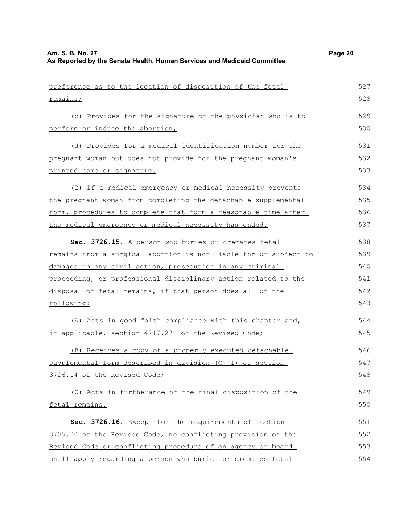| preference as to the location of disposition of the fetal        | 527 |
|------------------------------------------------------------------|-----|
| remains;                                                         | 528 |
| (c) Provides for the signature of the physician who is to        | 529 |
| perform or induce the abortion;                                  | 530 |
| (d) Provides for a medical identification number for the         | 531 |
| pregnant woman but does not provide for the pregnant woman's     | 532 |
| printed name or signature.                                       | 533 |
| (2) If a medical emergency or medical necessity prevents         | 534 |
| the pregnant woman from completing the detachable supplemental   | 535 |
| form, procedures to complete that form a reasonable time after   | 536 |
| the medical emergency or medical necessity has ended.            | 537 |
| Sec. 3726.15. A person who buries or cremates fetal              | 538 |
| remains from a surgical abortion is not liable for or subject to | 539 |
| damages in any civil action, prosecution in any criminal         | 540 |
| proceeding, or professional disciplinary action related to the   | 541 |
| disposal of fetal remains, if that person does all of the        | 542 |
| following:                                                       | 543 |
| (A) Acts in good faith compliance with this chapter and,         | 544 |
| if applicable, section 4717.271 of the Revised Code;             | 545 |
| (B) Receives a copy of a properly executed detachable            | 546 |
| supplemental form described in division (C) (1) of section       | 547 |
| 3726.14 of the Revised Code;                                     | 548 |
| (C) Acts in furtherance of the final disposition of the          | 549 |
| fetal remains.                                                   | 550 |
| Sec. 3726.16. Except for the requirements of section             | 551 |
| 3705.20 of the Revised Code, no conflicting provision of the     | 552 |
| Revised Code or conflicting procedure of an agency or board      | 553 |
| shall apply regarding a person who buries or cremates fetal      | 554 |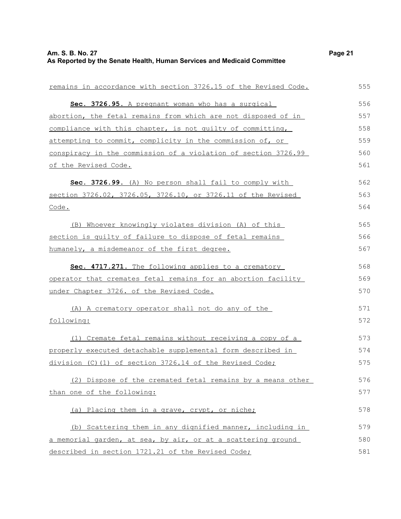| remains in accordance with section 3726.15 of the Revised Code. | 555 |
|-----------------------------------------------------------------|-----|
| Sec. 3726.95. A pregnant woman who has a surgical               | 556 |
| abortion, the fetal remains from which are not disposed of in   | 557 |
| compliance with this chapter, is not quilty of committing,      | 558 |
| attempting to commit, complicity in the commission of, or       | 559 |
| conspiracy in the commission of a violation of section 3726.99  | 560 |
| of the Revised Code.                                            | 561 |
| Sec. 3726.99. (A) No person shall fail to comply with           | 562 |
| section 3726.02, 3726.05, 3726.10, or 3726.11 of the Revised    | 563 |
| Code.                                                           | 564 |
| (B) Whoever knowingly violates division (A) of this             | 565 |
| section is quilty of failure to dispose of fetal remains        | 566 |
| humanely, a misdemeanor of the first degree.                    | 567 |
| Sec. 4717.271. The following applies to a crematory             | 568 |
| operator that cremates fetal remains for an abortion facility   | 569 |
| under Chapter 3726. of the Revised Code.                        | 570 |
| (A) A crematory operator shall not do any of the                | 571 |
| following:                                                      | 572 |
| (1) Cremate fetal remains without receiving a copy of a         | 573 |
| properly executed detachable supplemental form described in     | 574 |
| division (C)(1) of section 3726.14 of the Revised Code;         | 575 |
| (2) Dispose of the cremated fetal remains by a means other      | 576 |
| than one of the following:                                      | 577 |
| (a) Placing them in a grave, crypt, or niche;                   | 578 |
| (b) Scattering them in any dignified manner, including in       | 579 |
| a memorial garden, at sea, by air, or at a scattering ground    | 580 |
| described in section 1721.21 of the Revised Code;               | 581 |